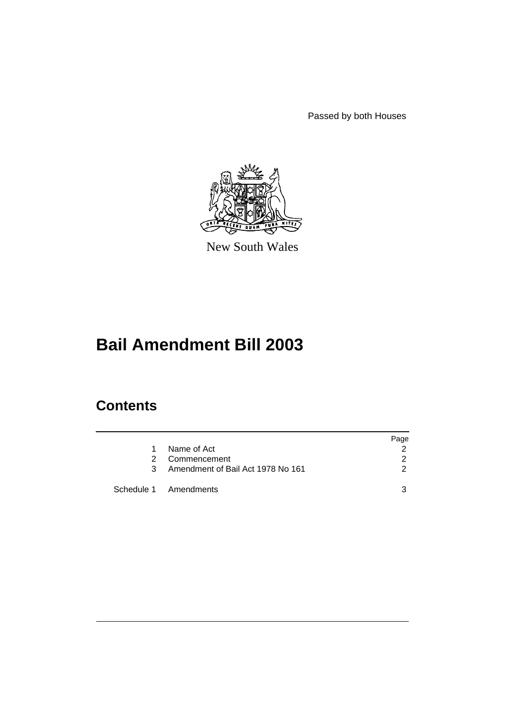Passed by both Houses



New South Wales

# **Bail Amendment Bill 2003**

# **Contents**

|    |                                   | Page |
|----|-----------------------------------|------|
| 1. | Name of Act                       |      |
| 2  | Commencement                      | 2    |
| 3  | Amendment of Bail Act 1978 No 161 | 2    |
|    | Schedule 1 Amendments             | 3    |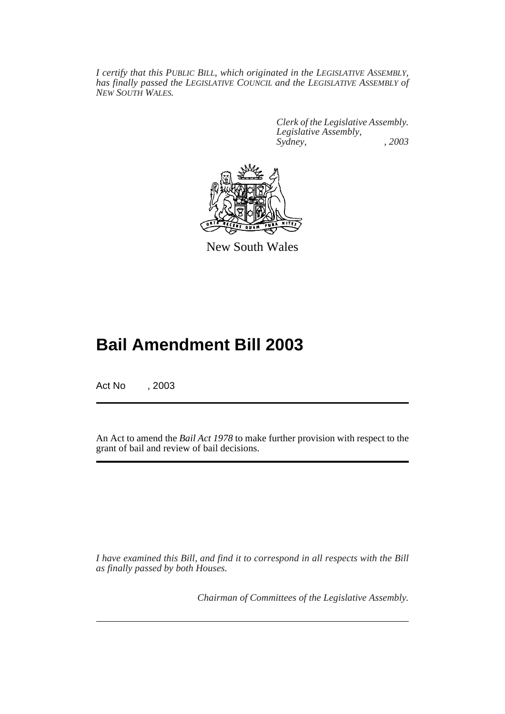*I certify that this PUBLIC BILL, which originated in the LEGISLATIVE ASSEMBLY, has finally passed the LEGISLATIVE COUNCIL and the LEGISLATIVE ASSEMBLY of NEW SOUTH WALES.*

> *Clerk of the Legislative Assembly. Legislative Assembly, Sydney, , 2003*



New South Wales

# **Bail Amendment Bill 2003**

Act No , 2003

An Act to amend the *Bail Act 1978* to make further provision with respect to the grant of bail and review of bail decisions.

*I have examined this Bill, and find it to correspond in all respects with the Bill as finally passed by both Houses.*

*Chairman of Committees of the Legislative Assembly.*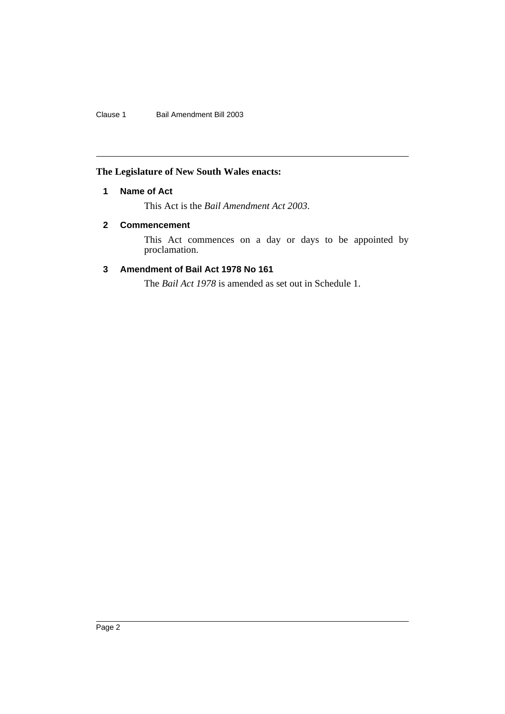Clause 1 Bail Amendment Bill 2003

## <span id="page-2-0"></span>**The Legislature of New South Wales enacts:**

## **1 Name of Act**

This Act is the *Bail Amendment Act 2003*.

## <span id="page-2-1"></span>**2 Commencement**

This Act commences on a day or days to be appointed by proclamation.

## <span id="page-2-2"></span>**3 Amendment of Bail Act 1978 No 161**

The *Bail Act 1978* is amended as set out in Schedule 1.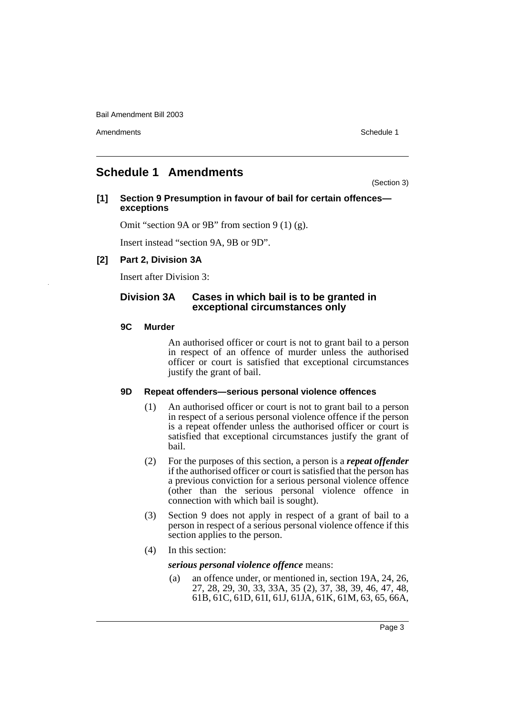Amendments **Schedule 1** and the set of the set of the set of the set of the set of the set of the set of the set of the set of the set of the set of the set of the set of the set of the set of the set of the set of the set

# <span id="page-3-0"></span>**Schedule 1 Amendments**

(Section 3)

## **[1] Section 9 Presumption in favour of bail for certain offences exceptions**

Omit "section 9A or 9B" from section 9 (1) (g).

Insert instead "section 9A, 9B or 9D".

## **[2] Part 2, Division 3A**

Insert after Division 3:

## **Division 3A Cases in which bail is to be granted in exceptional circumstances only**

## **9C Murder**

An authorised officer or court is not to grant bail to a person in respect of an offence of murder unless the authorised officer or court is satisfied that exceptional circumstances justify the grant of bail.

## **9D Repeat offenders—serious personal violence offences**

- (1) An authorised officer or court is not to grant bail to a person in respect of a serious personal violence offence if the person is a repeat offender unless the authorised officer or court is satisfied that exceptional circumstances justify the grant of bail.
- (2) For the purposes of this section, a person is a *repeat offender* if the authorised officer or court is satisfied that the person has a previous conviction for a serious personal violence offence (other than the serious personal violence offence in connection with which bail is sought).
- (3) Section 9 does not apply in respect of a grant of bail to a person in respect of a serious personal violence offence if this section applies to the person.
- (4) In this section:

*serious personal violence offence* means:

(a) an offence under, or mentioned in, section 19A, 24, 26, 27, 28, 29, 30, 33, 33A, 35 (2), 37, 38, 39, 46, 47, 48, 61B, 61C, 61D, 61I, 61J, 61JA, 61K, 61M, 63, 65, 66A,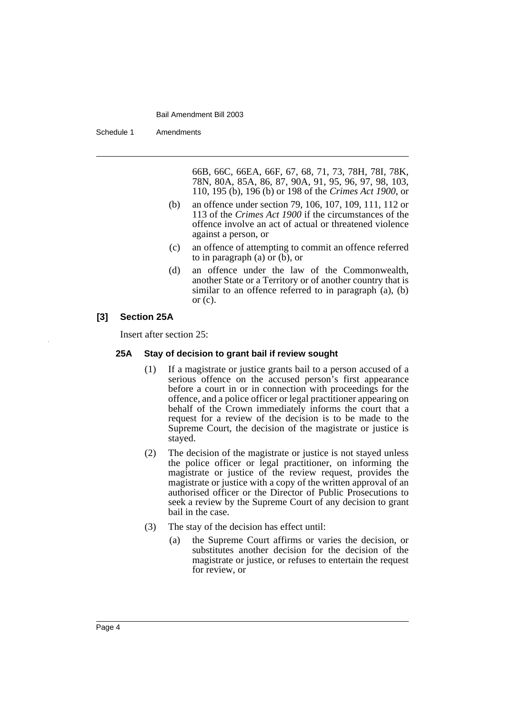Schedule 1 Amendments

66B, 66C, 66EA, 66F, 67, 68, 71, 73, 78H, 78I, 78K, 78N, 80A, 85A, 86, 87, 90A, 91, 95, 96, 97, 98, 103, 110, 195 (b), 196 (b) or 198 of the *Crimes Act 1900*, or

- (b) an offence under section 79, 106, 107, 109, 111, 112 or 113 of the *Crimes Act 1900* if the circumstances of the offence involve an act of actual or threatened violence against a person, or
- (c) an offence of attempting to commit an offence referred to in paragraph (a) or (b), or
- (d) an offence under the law of the Commonwealth, another State or a Territory or of another country that is similar to an offence referred to in paragraph (a), (b) or  $(c)$ .

## **[3] Section 25A**

Insert after section 25:

### **25A Stay of decision to grant bail if review sought**

- (1) If a magistrate or justice grants bail to a person accused of a serious offence on the accused person's first appearance before a court in or in connection with proceedings for the offence, and a police officer or legal practitioner appearing on behalf of the Crown immediately informs the court that a request for a review of the decision is to be made to the Supreme Court, the decision of the magistrate or justice is stayed.
- (2) The decision of the magistrate or justice is not stayed unless the police officer or legal practitioner, on informing the magistrate or justice of the review request, provides the magistrate or justice with a copy of the written approval of an authorised officer or the Director of Public Prosecutions to seek a review by the Supreme Court of any decision to grant bail in the case.
- (3) The stay of the decision has effect until:
	- (a) the Supreme Court affirms or varies the decision, or substitutes another decision for the decision of the magistrate or justice, or refuses to entertain the request for review, or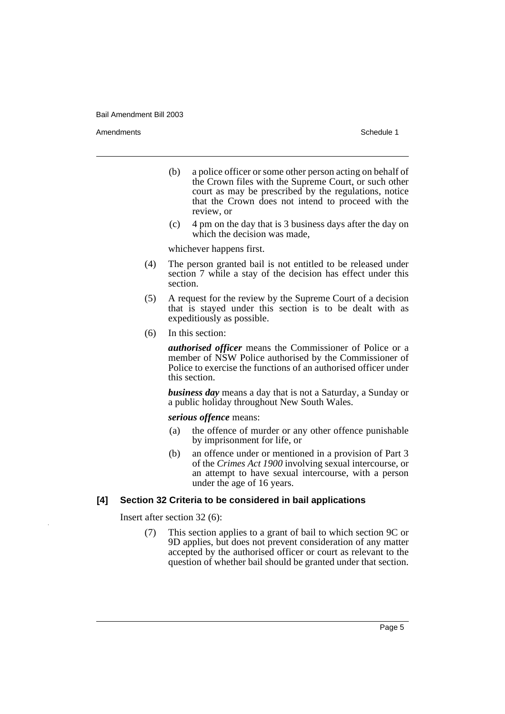Amendments **Schedule 1** and the set of the set of the set of the set of the set of the set of the set of the set of the set of the set of the set of the set of the set of the set of the set of the set of the set of the set

- (b) a police officer or some other person acting on behalf of the Crown files with the Supreme Court, or such other court as may be prescribed by the regulations, notice that the Crown does not intend to proceed with the review, or
- (c) 4 pm on the day that is 3 business days after the day on which the decision was made,

whichever happens first.

- (4) The person granted bail is not entitled to be released under section 7 while a stay of the decision has effect under this section.
- (5) A request for the review by the Supreme Court of a decision that is stayed under this section is to be dealt with as expeditiously as possible.
- (6) In this section:

*authorised officer* means the Commissioner of Police or a member of NSW Police authorised by the Commissioner of Police to exercise the functions of an authorised officer under this section.

*business day* means a day that is not a Saturday, a Sunday or a public holiday throughout New South Wales.

#### *serious offence* means:

- (a) the offence of murder or any other offence punishable by imprisonment for life, or
- (b) an offence under or mentioned in a provision of Part 3 of the *Crimes Act 1900* involving sexual intercourse, or an attempt to have sexual intercourse, with a person under the age of 16 years.

## **[4] Section 32 Criteria to be considered in bail applications**

Insert after section 32 (6):

(7) This section applies to a grant of bail to which section 9C or 9D applies, but does not prevent consideration of any matter accepted by the authorised officer or court as relevant to the question of whether bail should be granted under that section.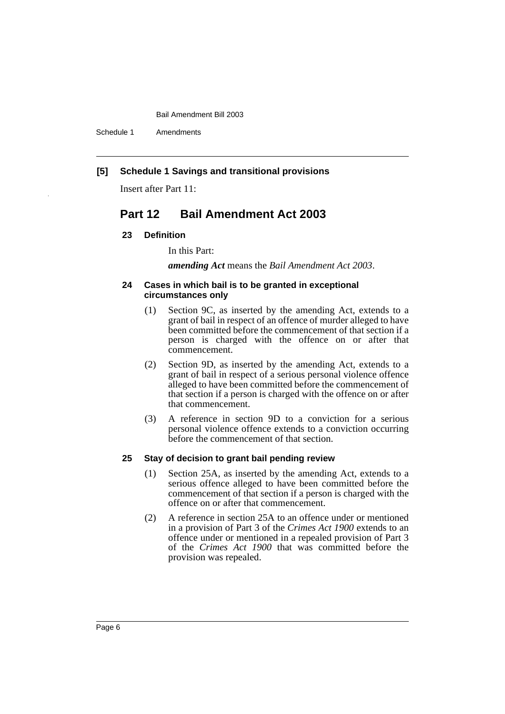Schedule 1 Amendments

## **[5] Schedule 1 Savings and transitional provisions**

Insert after Part 11:

# **Part 12 Bail Amendment Act 2003**

#### **23 Definition**

#### In this Part:

*amending Act* means the *Bail Amendment Act 2003*.

#### **24 Cases in which bail is to be granted in exceptional circumstances only**

- (1) Section 9C, as inserted by the amending Act, extends to a grant of bail in respect of an offence of murder alleged to have been committed before the commencement of that section if a person is charged with the offence on or after that commencement.
- (2) Section 9D, as inserted by the amending Act, extends to a grant of bail in respect of a serious personal violence offence alleged to have been committed before the commencement of that section if a person is charged with the offence on or after that commencement.
- (3) A reference in section 9D to a conviction for a serious personal violence offence extends to a conviction occurring before the commencement of that section.

#### **25 Stay of decision to grant bail pending review**

- (1) Section 25A, as inserted by the amending Act, extends to a serious offence alleged to have been committed before the commencement of that section if a person is charged with the offence on or after that commencement.
- (2) A reference in section 25A to an offence under or mentioned in a provision of Part 3 of the *Crimes Act 1900* extends to an offence under or mentioned in a repealed provision of Part 3 of the *Crimes Act 1900* that was committed before the provision was repealed.